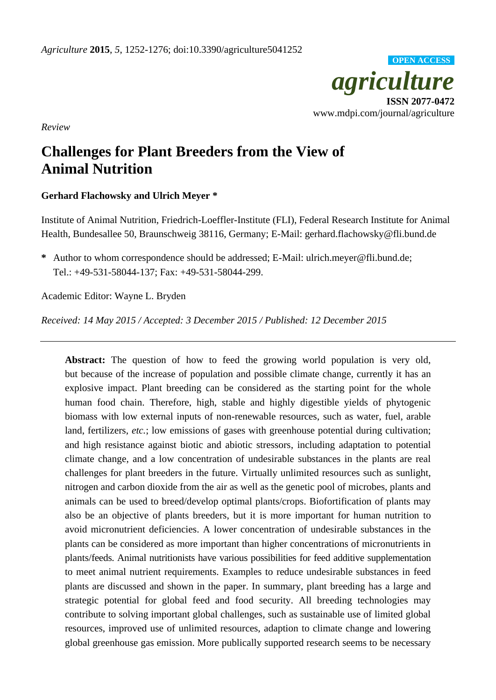

*Review*

# **Challenges for Plant Breeders from the View of Animal Nutrition**

# **Gerhard Flachowsky and Ulrich Meyer \***

Institute of Animal Nutrition, Friedrich-Loeffler-Institute (FLI), Federal Research Institute for Animal Health, Bundesallee 50, Braunschweig 38116, Germany; E-Mail: gerhard.flachowsky@fli.bund.de

**\*** Author to whom correspondence should be addressed; E-Mail: ulrich.meyer@fli.bund.de; Tel.: +49-531-58044-137; Fax: +49-531-58044-299.

Academic Editor: Wayne L. Bryden

*Received: 14 May 2015 / Accepted: 3 December 2015 / Published: 12 December 2015*

**Abstract:** The question of how to feed the growing world population is very old, but because of the increase of population and possible climate change, currently it has an explosive impact. Plant breeding can be considered as the starting point for the whole human food chain. Therefore, high, stable and highly digestible yields of phytogenic biomass with low external inputs of non-renewable resources, such as water, fuel, arable land, fertilizers, *etc.*; low emissions of gases with greenhouse potential during cultivation; and high resistance against biotic and abiotic stressors, including adaptation to potential climate change, and a low concentration of undesirable substances in the plants are real challenges for plant breeders in the future. Virtually unlimited resources such as sunlight, nitrogen and carbon dioxide from the air as well as the genetic pool of microbes, plants and animals can be used to breed/develop optimal plants/crops. Biofortification of plants may also be an objective of plants breeders, but it is more important for human nutrition to avoid micronutrient deficiencies. A lower concentration of undesirable substances in the plants can be considered as more important than higher concentrations of micronutrients in plants/feeds. Animal nutritionists have various possibilities for feed additive supplementation to meet animal nutrient requirements. Examples to reduce undesirable substances in feed plants are discussed and shown in the paper. In summary, plant breeding has a large and strategic potential for global feed and food security. All breeding technologies may contribute to solving important global challenges, such as sustainable use of limited global resources, improved use of unlimited resources, adaption to climate change and lowering global greenhouse gas emission. More publically supported research seems to be necessary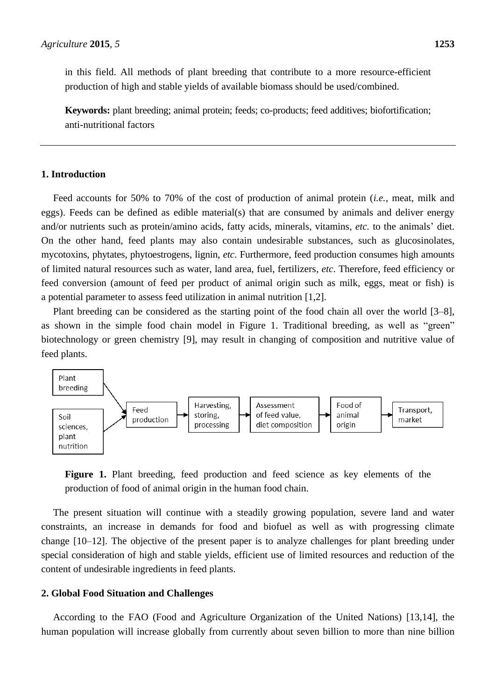in this field. All methods of plant breeding that contribute to a more resource-efficient production of high and stable yields of available biomass should be used/combined.

**Keywords:** plant breeding; animal protein; feeds; co-products; feed additives; biofortification; anti-nutritional factors

# **1. Introduction**

Feed accounts for 50% to 70% of the cost of production of animal protein (*i.e.*, meat, milk and eggs). Feeds can be defined as edible material(s) that are consumed by animals and deliver energy and/or nutrients such as protein/amino acids, fatty acids, minerals, vitamins, *etc.* to the animals' diet. On the other hand, feed plants may also contain undesirable substances, such as glucosinolates, mycotoxins, phytates, phytoestrogens, lignin, *etc*. Furthermore, feed production consumes high amounts of limited natural resources such as water, land area, fuel, fertilizers, *etc*. Therefore, feed efficiency or feed conversion (amount of feed per product of animal origin such as milk, eggs, meat or fish) is a potential parameter to assess feed utilization in animal nutrition [1,2].

Plant breeding can be considered as the starting point of the food chain all over the world [3–8], as shown in the simple food chain model in Figure 1. Traditional breeding, as well as "green" biotechnology or green chemistry [9], may result in changing of composition and nutritive value of feed plants.



**Figure 1.** Plant breeding, feed production and feed science as key elements of the production of food of animal origin in the human food chain.

The present situation will continue with a steadily growing population, severe land and water constraints, an increase in demands for food and biofuel as well as with progressing climate change [10–12]. The objective of the present paper is to analyze challenges for plant breeding under special consideration of high and stable yields, efficient use of limited resources and reduction of the content of undesirable ingredients in feed plants.

## **2. Global Food Situation and Challenges**

According to the FAO (Food and Agriculture Organization of the United Nations) [13,14], the human population will increase globally from currently about seven billion to more than nine billion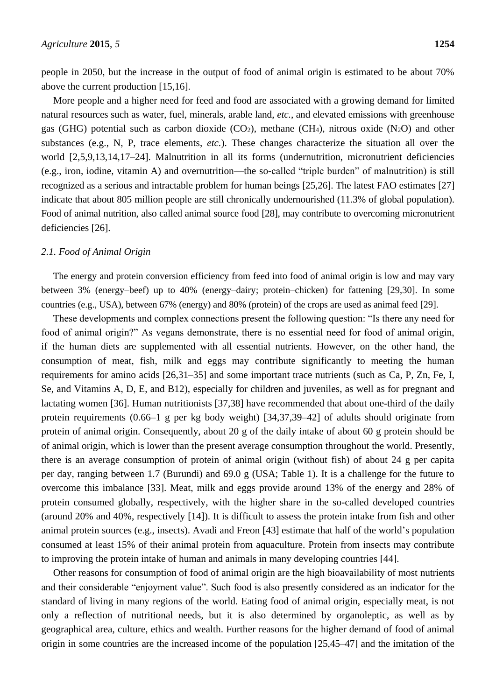people in 2050, but the increase in the output of food of animal origin is estimated to be about 70% above the current production [15,16].

More people and a higher need for feed and food are associated with a growing demand for limited natural resources such as water, fuel, minerals, arable land, *etc.*, and elevated emissions with greenhouse gas (GHG) potential such as carbon dioxide (CO<sub>2</sub>), methane (CH<sub>4</sub>), nitrous oxide (N<sub>2</sub>O) and other substances (e.g., N, P, trace elements, *etc.*). These changes characterize the situation all over the world [2,5,9,13,14,17–24]. Malnutrition in all its forms (undernutrition, micronutrient deficiencies (e.g., iron, iodine, vitamin A) and overnutrition—the so-called "triple burden" of malnutrition) is still recognized as a serious and intractable problem for human beings [25,26]. The latest FAO estimates [27] indicate that about 805 million people are still chronically undernourished (11.3% of global population). Food of animal nutrition, also called animal source food [28], may contribute to overcoming micronutrient deficiencies [26].

## *2.1. Food of Animal Origin*

The energy and protein conversion efficiency from feed into food of animal origin is low and may vary between 3% (energy–beef) up to 40% (energy–dairy; protein–chicken) for fattening [29,30]. In some countries (e.g., USA), between 67% (energy) and 80% (protein) of the crops are used as animal feed [29].

These developments and complex connections present the following question: "Is there any need for food of animal origin?" As vegans demonstrate, there is no essential need for food of animal origin, if the human diets are supplemented with all essential nutrients. However, on the other hand, the consumption of meat, fish, milk and eggs may contribute significantly to meeting the human requirements for amino acids [26,31–35] and some important trace nutrients (such as Ca, P, Zn, Fe, I, Se, and Vitamins A, D, E, and B12), especially for children and juveniles, as well as for pregnant and lactating women [36]. Human nutritionists [37,38] have recommended that about one-third of the daily protein requirements (0.66–1 g per kg body weight) [34,37,39–42] of adults should originate from protein of animal origin. Consequently, about 20 g of the daily intake of about 60 g protein should be of animal origin, which is lower than the present average consumption throughout the world. Presently, there is an average consumption of protein of animal origin (without fish) of about 24 g per capita per day, ranging between 1.7 (Burundi) and 69.0 g (USA; Table 1). It is a challenge for the future to overcome this imbalance [33]. Meat, milk and eggs provide around 13% of the energy and 28% of protein consumed globally, respectively, with the higher share in the so-called developed countries (around 20% and 40%, respectively [14]). It is difficult to assess the protein intake from fish and other animal protein sources (e.g., insects). Avadi and Freon [43] estimate that half of the world's population consumed at least 15% of their animal protein from aquaculture. Protein from insects may contribute to improving the protein intake of human and animals in many developing countries [44].

Other reasons for consumption of food of animal origin are the high bioavailability of most nutrients and their considerable "enjoyment value". Such food is also presently considered as an indicator for the standard of living in many regions of the world. Eating food of animal origin, especially meat, is not only a reflection of nutritional needs, but it is also determined by organoleptic, as well as by geographical area, culture, ethics and wealth. Further reasons for the higher demand of food of animal origin in some countries are the increased income of the population [25,45–47] and the imitation of the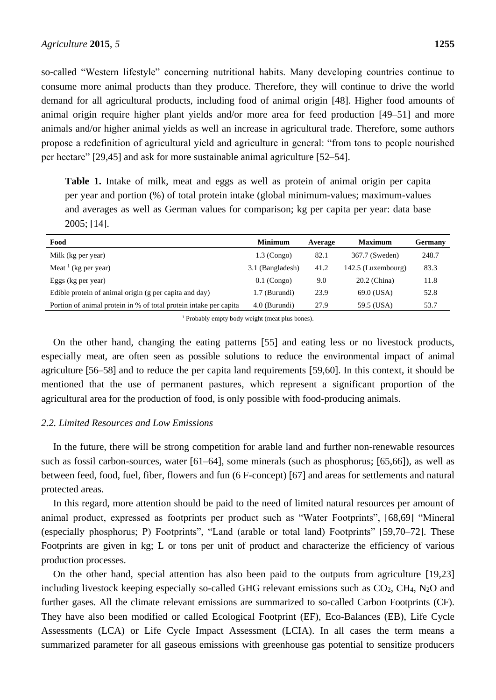so-called "Western lifestyle" concerning nutritional habits. Many developing countries continue to consume more animal products than they produce. Therefore, they will continue to drive the world demand for all agricultural products, including food of animal origin [48]. Higher food amounts of animal origin require higher plant yields and/or more area for feed production [49–51] and more animals and/or higher animal yields as well an increase in agricultural trade. Therefore, some authors propose a redefinition of agricultural yield and agriculture in general: "from tons to people nourished per hectare" [29,45] and ask for more sustainable animal agriculture [52–54].

**Table 1.** Intake of milk, meat and eggs as well as protein of animal origin per capita per year and portion (%) of total protein intake (global minimum-values; maximum-values and averages as well as German values for comparison; kg per capita per year: data base 2005; [14].

| Food                                                              | <b>Minimum</b>   | Average | <b>Maximum</b>     | <b>Germany</b> |
|-------------------------------------------------------------------|------------------|---------|--------------------|----------------|
| Milk (kg per year)                                                | $1.3$ (Congo)    | 82.1    | 367.7 (Sweden)     | 248.7          |
| Meat $\frac{1}{1}$ (kg per year)                                  | 3.1 (Bangladesh) | 41.2    | 142.5 (Luxembourg) | 83.3           |
| Eggs (kg per year)                                                | $0.1$ (Congo)    | 9.0     | 20.2 (China)       | 11.8           |
| Edible protein of animal origin (g per capita and day)            | 1.7 (Burundi)    | 23.9    | 69.0 (USA)         | 52.8           |
| Portion of animal protein in % of total protein intake per capita | 4.0 (Burundi)    | 27.9    | 59.5 (USA)         | 53.7           |

<sup>1</sup> Probably empty body weight (meat plus bones).

On the other hand, changing the eating patterns [55] and eating less or no livestock products, especially meat, are often seen as possible solutions to reduce the environmental impact of animal agriculture [56–58] and to reduce the per capita land requirements [59,60]. In this context, it should be mentioned that the use of permanent pastures, which represent a significant proportion of the agricultural area for the production of food, is only possible with food-producing animals.

# *2.2. Limited Resources and Low Emissions*

In the future, there will be strong competition for arable land and further non-renewable resources such as fossil carbon-sources, water [61–64], some minerals (such as phosphorus; [65,66]), as well as between feed, food, fuel, fiber, flowers and fun (6 F-concept) [67] and areas for settlements and natural protected areas.

In this regard, more attention should be paid to the need of limited natural resources per amount of animal product, expressed as footprints per product such as "Water Footprints", [68,69] "Mineral (especially phosphorus; P) Footprints", "Land (arable or total land) Footprints" [59,70–72]. These Footprints are given in kg; L or tons per unit of product and characterize the efficiency of various production processes.

On the other hand, special attention has also been paid to the outputs from agriculture [19,23] including livestock keeping especially so-called GHG relevant emissions such as  $CO<sub>2</sub>$ ,  $CH<sub>4</sub>$ , N<sub>2</sub>O and further gases. All the climate relevant emissions are summarized to so-called Carbon Footprints (CF). They have also been modified or called Ecological Footprint (EF), Eco-Balances (EB), Life Cycle Assessments (LCA) or Life Cycle Impact Assessment (LCIA). In all cases the term means a summarized parameter for all gaseous emissions with greenhouse gas potential to sensitize producers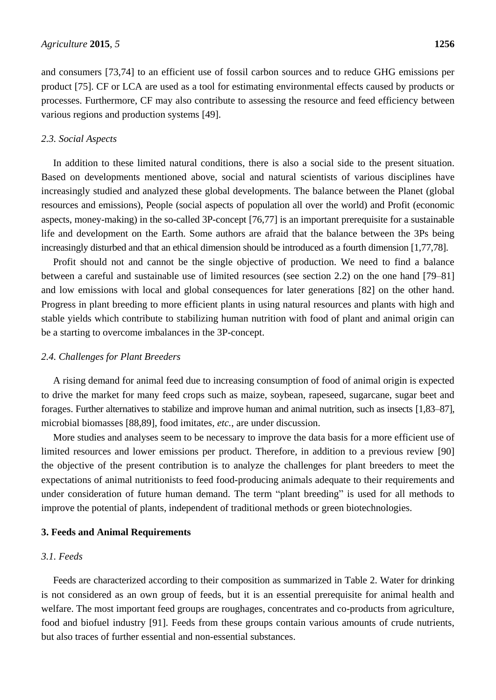and consumers [73,74] to an efficient use of fossil carbon sources and to reduce GHG emissions per product [75]. CF or LCA are used as a tool for estimating environmental effects caused by products or processes. Furthermore, CF may also contribute to assessing the resource and feed efficiency between various regions and production systems [49].

#### *2.3. Social Aspects*

In addition to these limited natural conditions, there is also a social side to the present situation. Based on developments mentioned above, social and natural scientists of various disciplines have increasingly studied and analyzed these global developments. The balance between the Planet (global resources and emissions), People (social aspects of population all over the world) and Profit (economic aspects, money-making) in the so-called 3P-concept [76,77] is an important prerequisite for a sustainable life and development on the Earth. Some authors are afraid that the balance between the 3Ps being increasingly disturbed and that an ethical dimension should be introduced as a fourth dimension [1,77,78].

Profit should not and cannot be the single objective of production. We need to find a balance between a careful and sustainable use of limited resources (see section 2.2) on the one hand [79–81] and low emissions with local and global consequences for later generations [82] on the other hand. Progress in plant breeding to more efficient plants in using natural resources and plants with high and stable yields which contribute to stabilizing human nutrition with food of plant and animal origin can be a starting to overcome imbalances in the 3P-concept.

#### *2.4. Challenges for Plant Breeders*

A rising demand for animal feed due to increasing consumption of food of animal origin is expected to drive the market for many feed crops such as maize, soybean, rapeseed, sugarcane, sugar beet and forages. Further alternatives to stabilize and improve human and animal nutrition, such as insects [1,83–87], microbial biomasses [88,89], food imitates, *etc.*, are under discussion.

More studies and analyses seem to be necessary to improve the data basis for a more efficient use of limited resources and lower emissions per product. Therefore, in addition to a previous review [90] the objective of the present contribution is to analyze the challenges for plant breeders to meet the expectations of animal nutritionists to feed food-producing animals adequate to their requirements and under consideration of future human demand. The term "plant breeding" is used for all methods to improve the potential of plants, independent of traditional methods or green biotechnologies.

#### **3. Feeds and Animal Requirements**

### *3.1. Feeds*

Feeds are characterized according to their composition as summarized in Table 2. Water for drinking is not considered as an own group of feeds, but it is an essential prerequisite for animal health and welfare. The most important feed groups are roughages, concentrates and co-products from agriculture, food and biofuel industry [91]. Feeds from these groups contain various amounts of crude nutrients, but also traces of further essential and non-essential substances.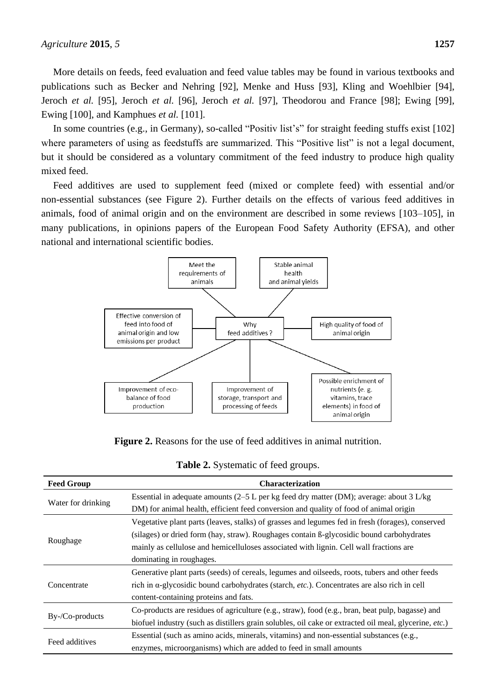More details on feeds, feed evaluation and feed value tables may be found in various textbooks and publications such as Becker and Nehring [92], Menke and Huss [93], Kling and Woehlbier [94], Jeroch *et al.* [95], Jeroch *et al.* [96], Jeroch *et al.* [97], Theodorou and France [98]; Ewing [99], Ewing [100], and Kamphues *et al.* [101].

In some countries (e.g., in Germany), so-called "Positiv list's" for straight feeding stuffs exist [102] where parameters of using as feedstuffs are summarized. This "Positive list" is not a legal document, but it should be considered as a voluntary commitment of the feed industry to produce high quality mixed feed.

Feed additives are used to supplement feed (mixed or complete feed) with essential and/or non-essential substances (see Figure 2). Further details on the effects of various feed additives in animals, food of animal origin and on the environment are described in some reviews [103–105], in many publications, in opinions papers of the European Food Safety Authority (EFSA), and other national and international scientific bodies.



**Figure 2.** Reasons for the use of feed additives in animal nutrition.

| <b>Feed Group</b>  | <b>Characterization</b>                                                                                       |  |  |  |
|--------------------|---------------------------------------------------------------------------------------------------------------|--|--|--|
|                    | Essential in adequate amounts (2–5 L per kg feed dry matter (DM); average: about 3 L/kg                       |  |  |  |
| Water for drinking | DM) for animal health, efficient feed conversion and quality of food of animal origin                         |  |  |  |
|                    | Vegetative plant parts (leaves, stalks) of grasses and legumes fed in fresh (forages), conserved              |  |  |  |
| Roughage           | (silages) or dried form (hay, straw). Roughages contain ß-glycosidic bound carbohydrates                      |  |  |  |
|                    | mainly as cellulose and hemicelluloses associated with lignin. Cell wall fractions are                        |  |  |  |
|                    | dominating in roughages.                                                                                      |  |  |  |
|                    | Generative plant parts (seeds) of cereals, legumes and oilseeds, roots, tubers and other feeds                |  |  |  |
| Concentrate        | rich in $\alpha$ -glycosidic bound carbohydrates (starch, <i>etc.</i> ). Concentrates are also rich in cell   |  |  |  |
|                    | content-containing proteins and fats.                                                                         |  |  |  |
|                    | Co-products are residues of agriculture (e.g., straw), food (e.g., bran, beat pulp, bagasse) and              |  |  |  |
| $By$ -/Co-products | biofuel industry (such as distillers grain solubles, oil cake or extracted oil meal, glycerine, <i>etc.</i> ) |  |  |  |
|                    | Essential (such as amino acids, minerals, vitamins) and non-essential substances (e.g.,                       |  |  |  |
| Feed additives     | enzymes, microorganisms) which are added to feed in small amounts                                             |  |  |  |

**Table 2.** Systematic of feed groups.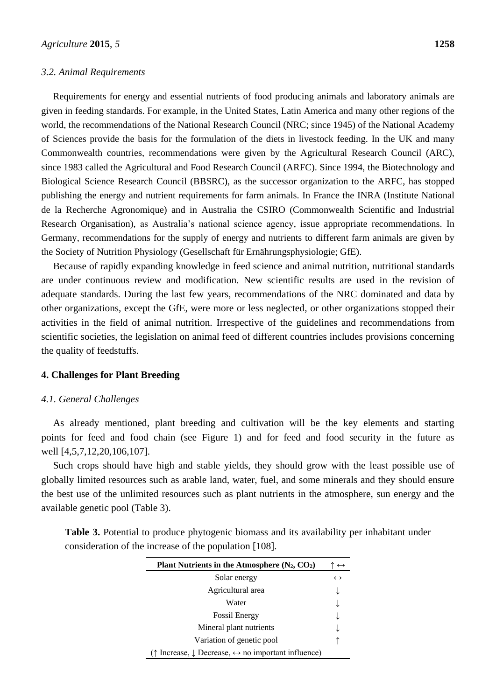#### *3.2. Animal Requirements*

Requirements for energy and essential nutrients of food producing animals and laboratory animals are given in feeding standards. For example, in the United States, Latin America and many other regions of the world, the recommendations of the National Research Council (NRC; since 1945) of the National Academy of Sciences provide the basis for the formulation of the diets in livestock feeding. In the UK and many Commonwealth countries, recommendations were given by the Agricultural Research Council (ARC), since 1983 called the Agricultural and Food Research Council (ARFC). Since 1994, the Biotechnology and Biological Science Research Council (BBSRC), as the successor organization to the ARFC, has stopped publishing the energy and nutrient requirements for farm animals. In France the INRA (Institute National de la Recherche Agronomique) and in Australia the CSIRO (Commonwealth Scientific and Industrial Research Organisation), as Australia's national science agency, issue appropriate recommendations. In Germany, recommendations for the supply of energy and nutrients to different farm animals are given by the Society of Nutrition Physiology (Gesellschaft für Ernährungsphysiologie; GfE).

Because of rapidly expanding knowledge in feed science and animal nutrition, nutritional standards are under continuous review and modification. New scientific results are used in the revision of adequate standards. During the last few years, recommendations of the NRC dominated and data by other organizations, except the GfE, were more or less neglected, or other organizations stopped their activities in the field of animal nutrition. Irrespective of the guidelines and recommendations from scientific societies, the legislation on animal feed of different countries includes provisions concerning the quality of feedstuffs.

#### **4. Challenges for Plant Breeding**

#### *4.1. General Challenges*

As already mentioned, plant breeding and cultivation will be the key elements and starting points for feed and food chain (see Figure 1) and for feed and food security in the future as well [4,5,7,12,20,106,107].

Such crops should have high and stable yields, they should grow with the least possible use of globally limited resources such as arable land, water, fuel, and some minerals and they should ensure the best use of the unlimited resources such as plant nutrients in the atmosphere, sun energy and the available genetic pool (Table 3).

|  |                                                        |  |  | <b>Table 3.</b> Potential to produce phytogenic biomass and its availability per inhabitant under |  |
|--|--------------------------------------------------------|--|--|---------------------------------------------------------------------------------------------------|--|
|  | consideration of the increase of the population [108]. |  |  |                                                                                                   |  |

| Plant Nutrients in the Atmosphere $(N_2, CO_2)$                                       | $\leftrightarrow$ |
|---------------------------------------------------------------------------------------|-------------------|
| Solar energy                                                                          | $\leftrightarrow$ |
| Agricultural area                                                                     |                   |
| Water                                                                                 |                   |
| <b>Fossil Energy</b>                                                                  |                   |
| Mineral plant nutrients                                                               |                   |
| Variation of genetic pool                                                             |                   |
| $\uparrow$ Increase, $\downarrow$ Decrease, $\leftrightarrow$ no important influence) |                   |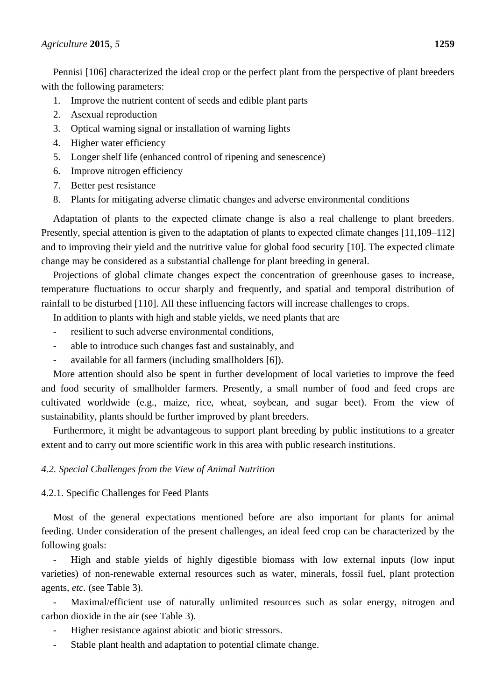Pennisi [106] characterized the ideal crop or the perfect plant from the perspective of plant breeders with the following parameters:

- 1. Improve the nutrient content of seeds and edible plant parts
- 2. Asexual reproduction
- 3. Optical warning signal or installation of warning lights
- 4. Higher water efficiency
- 5. Longer shelf life (enhanced control of ripening and senescence)
- 6. Improve nitrogen efficiency
- 7. Better pest resistance
- 8. Plants for mitigating adverse climatic changes and adverse environmental conditions

Adaptation of plants to the expected climate change is also a real challenge to plant breeders. Presently, special attention is given to the adaptation of plants to expected climate changes [11,109–112] and to improving their yield and the nutritive value for global food security [10]. The expected climate change may be considered as a substantial challenge for plant breeding in general.

Projections of global climate changes expect the concentration of greenhouse gases to increase, temperature fluctuations to occur sharply and frequently, and spatial and temporal distribution of rainfall to be disturbed [110]. All these influencing factors will increase challenges to crops.

In addition to plants with high and stable yields, we need plants that are

- resilient to such adverse environmental conditions,
- able to introduce such changes fast and sustainably, and
- available for all farmers (including smallholders [6]).

More attention should also be spent in further development of local varieties to improve the feed and food security of smallholder farmers. Presently, a small number of food and feed crops are cultivated worldwide (e.g., maize, rice, wheat, soybean, and sugar beet). From the view of sustainability, plants should be further improved by plant breeders.

Furthermore, it might be advantageous to support plant breeding by public institutions to a greater extent and to carry out more scientific work in this area with public research institutions.

# *4.2. Special Challenges from the View of Animal Nutrition*

4.2.1. Specific Challenges for Feed Plants

Most of the general expectations mentioned before are also important for plants for animal feeding. Under consideration of the present challenges, an ideal feed crop can be characterized by the following goals:

- High and stable yields of highly digestible biomass with low external inputs (low input varieties) of non-renewable external resources such as water, minerals, fossil fuel, plant protection agents, *etc.* (see Table 3).

Maximal/efficient use of naturally unlimited resources such as solar energy, nitrogen and carbon dioxide in the air (see Table 3).

- Higher resistance against abiotic and biotic stressors.
- Stable plant health and adaptation to potential climate change.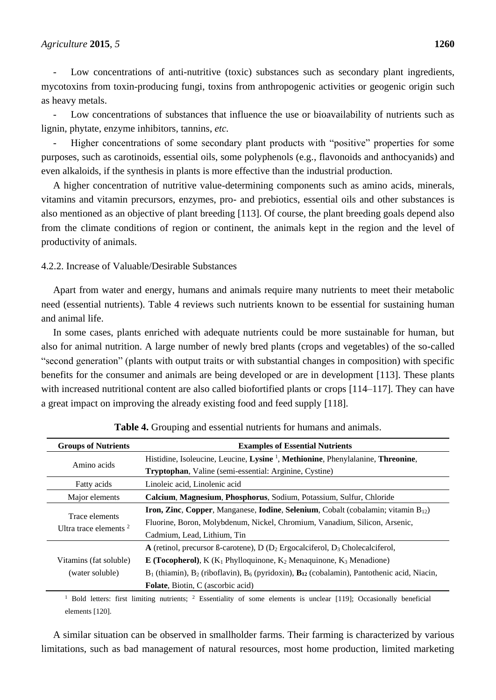Low concentrations of anti-nutritive (toxic) substances such as secondary plant ingredients, mycotoxins from toxin-producing fungi, toxins from anthropogenic activities or geogenic origin such as heavy metals.

- Low concentrations of substances that influence the use or bioavailability of nutrients such as lignin, phytate, enzyme inhibitors, tannins, *etc.*

Higher concentrations of some secondary plant products with "positive" properties for some purposes, such as carotinoids, essential oils, some polyphenols (e.g., flavonoids and anthocyanids) and even alkaloids, if the synthesis in plants is more effective than the industrial production.

A higher concentration of nutritive value-determining components such as amino acids, minerals, vitamins and vitamin precursors, enzymes, pro- and prebiotics, essential oils and other substances is also mentioned as an objective of plant breeding [113]. Of course, the plant breeding goals depend also from the climate conditions of region or continent, the animals kept in the region and the level of productivity of animals.

# 4.2.2. Increase of Valuable/Desirable Substances

Apart from water and energy, humans and animals require many nutrients to meet their metabolic need (essential nutrients). Table 4 reviews such nutrients known to be essential for sustaining human and animal life.

In some cases, plants enriched with adequate nutrients could be more sustainable for human, but also for animal nutrition. A large number of newly bred plants (crops and vegetables) of the so-called "second generation" (plants with output traits or with substantial changes in composition) with specific benefits for the consumer and animals are being developed or are in development [113]. These plants with increased nutritional content are also called biofortified plants or crops [114–117]. They can have a great impact on improving the already existing food and feed supply [118].

| <b>Groups of Nutrients</b> | <b>Examples of Essential Nutrients</b>                                                                  |  |  |
|----------------------------|---------------------------------------------------------------------------------------------------------|--|--|
| Amino acids                | Histidine, Isoleucine, Leucine, Lysine <sup>1</sup> , Methionine, Phenylalanine, Threonine,             |  |  |
|                            | Tryptophan, Valine (semi-essential: Arginine, Cystine)                                                  |  |  |
| Fatty acids                | Linoleic acid, Linolenic acid                                                                           |  |  |
| Major elements             | Calcium, Magnesium, Phosphorus, Sodium, Potassium, Sulfur, Chloride                                     |  |  |
| Trace elements             | <b>Iron, Zinc, Copper, Manganese, Iodine, Selenium, Cobalt (cobalamin; vitamin <math>B_{12}</math>)</b> |  |  |
| Ultra trace elements $2$   | Fluorine, Boron, Molybdenum, Nickel, Chromium, Vanadium, Silicon, Arsenic,                              |  |  |
|                            | Cadmium, Lead, Lithium, Tin                                                                             |  |  |
|                            | A (retinol, precursor ß-carotene), $D(D_2)$ Ergocalciferol, $D_3$ Cholecalciferol,                      |  |  |
| Vitamins (fat soluble)     | <b>E</b> (Tocopherol), K ( $K_1$ Phylloquinone, $K_2$ Menaquinone, $K_3$ Menadione)                     |  |  |
| (water soluble)            | $B_1$ (thiamin), $B_2$ (riboflavin), $B_6$ (pyridoxin), $B_{12}$ (cobalamin), Pantothenic acid, Niacin, |  |  |
|                            | Folate, Biotin, C (ascorbic acid)                                                                       |  |  |

| Table 4. Grouping and essential nutrients for humans and animals. |  |  |  |  |  |  |  |  |  |
|-------------------------------------------------------------------|--|--|--|--|--|--|--|--|--|
|-------------------------------------------------------------------|--|--|--|--|--|--|--|--|--|

<sup>1</sup> Bold letters: first limiting nutrients; <sup>2</sup> Essentiality of some elements is unclear [119]; Occasionally beneficial elements [120].

A similar situation can be observed in smallholder farms. Their farming is characterized by various limitations, such as bad management of natural resources, most home production, limited marketing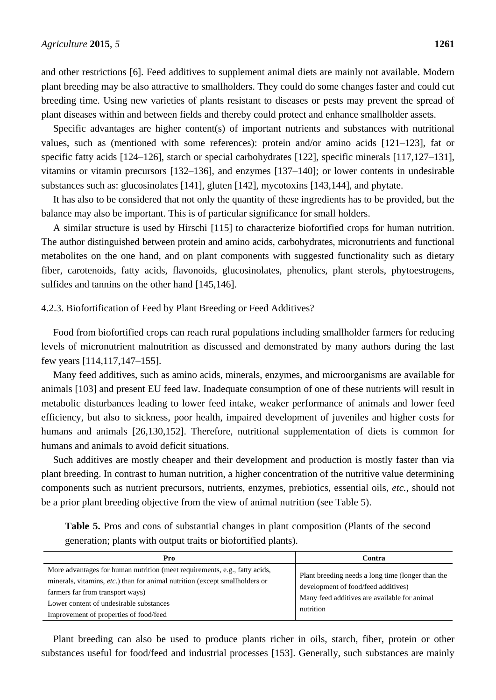and other restrictions [6]. Feed additives to supplement animal diets are mainly not available. Modern plant breeding may be also attractive to smallholders. They could do some changes faster and could cut breeding time. Using new varieties of plants resistant to diseases or pests may prevent the spread of plant diseases within and between fields and thereby could protect and enhance smallholder assets.

Specific advantages are higher content(s) of important nutrients and substances with nutritional values, such as (mentioned with some references): protein and/or amino acids [121–123], fat or specific fatty acids [124–126], starch or special carbohydrates [122], specific minerals [117,127–131], vitamins or vitamin precursors [132–136], and enzymes [137–140]; or lower contents in undesirable substances such as: glucosinolates [141], gluten [142], mycotoxins [143,144], and phytate.

It has also to be considered that not only the quantity of these ingredients has to be provided, but the balance may also be important. This is of particular significance for small holders.

A similar structure is used by Hirschi [115] to characterize biofortified crops for human nutrition. The author distinguished between protein and amino acids, carbohydrates, micronutrients and functional metabolites on the one hand, and on plant components with suggested functionality such as dietary fiber, carotenoids, fatty acids, flavonoids, glucosinolates, phenolics, plant sterols, phytoestrogens, sulfides and tannins on the other hand [145,146].

#### 4.2.3. Biofortification of Feed by Plant Breeding or Feed Additives?

Food from biofortified crops can reach rural populations including smallholder farmers for reducing levels of micronutrient malnutrition as discussed and demonstrated by many authors during the last few years [114,117,147–155].

Many feed additives, such as amino acids, minerals, enzymes, and microorganisms are available for animals [103] and present EU feed law. Inadequate consumption of one of these nutrients will result in metabolic disturbances leading to lower feed intake, weaker performance of animals and lower feed efficiency, but also to sickness, poor health, impaired development of juveniles and higher costs for humans and animals [26,130,152]. Therefore, nutritional supplementation of diets is common for humans and animals to avoid deficit situations.

Such additives are mostly cheaper and their development and production is mostly faster than via plant breeding. In contrast to human nutrition, a higher concentration of the nutritive value determining components such as nutrient precursors, nutrients, enzymes, prebiotics, essential oils, *etc.*, should not be a prior plant breeding objective from the view of animal nutrition (see Table 5).

**Table 5.** Pros and cons of substantial changes in plant composition (Plants of the second generation; plants with output traits or biofortified plants).

| Pro                                                                                                                                                                                                                                                                                | Contra                                                                                                                                                |
|------------------------------------------------------------------------------------------------------------------------------------------------------------------------------------------------------------------------------------------------------------------------------------|-------------------------------------------------------------------------------------------------------------------------------------------------------|
| More advantages for human nutrition (meet requirements, e.g., fatty acids,<br>minerals, vitamins, etc.) than for animal nutrition (except smallholders or<br>farmers far from transport ways)<br>Lower content of undesirable substances<br>Improvement of properties of food/feed | Plant breeding needs a long time (longer than the<br>development of food/feed additives)<br>Many feed additives are available for animal<br>nutrition |

Plant breeding can also be used to produce plants richer in oils, starch, fiber, protein or other substances useful for food/feed and industrial processes [153]. Generally, such substances are mainly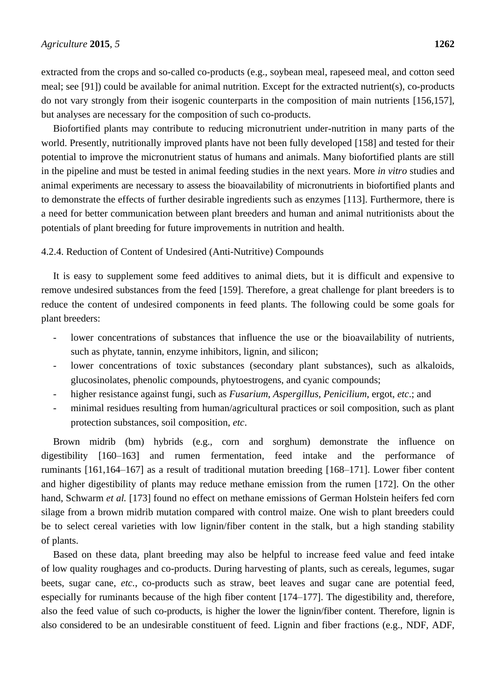extracted from the crops and so-called co-products (e.g., soybean meal, rapeseed meal, and cotton seed meal; see [91]) could be available for animal nutrition. Except for the extracted nutrient(s), co-products do not vary strongly from their isogenic counterparts in the composition of main nutrients [156,157], but analyses are necessary for the composition of such co-products.

Biofortified plants may contribute to reducing micronutrient under-nutrition in many parts of the world. Presently, nutritionally improved plants have not been fully developed [158] and tested for their potential to improve the micronutrient status of humans and animals. Many biofortified plants are still in the pipeline and must be tested in animal feeding studies in the next years. More *in vitro* studies and animal experiments are necessary to assess the bioavailability of micronutrients in biofortified plants and to demonstrate the effects of further desirable ingredients such as enzymes [113]. Furthermore, there is a need for better communication between plant breeders and human and animal nutritionists about the potentials of plant breeding for future improvements in nutrition and health.

#### 4.2.4. Reduction of Content of Undesired (Anti-Nutritive) Compounds

It is easy to supplement some feed additives to animal diets, but it is difficult and expensive to remove undesired substances from the feed [159]. Therefore, a great challenge for plant breeders is to reduce the content of undesired components in feed plants. The following could be some goals for plant breeders:

- lower concentrations of substances that influence the use or the bioavailability of nutrients, such as phytate, tannin, enzyme inhibitors, lignin, and silicon;
- lower concentrations of toxic substances (secondary plant substances), such as alkaloids, glucosinolates, phenolic compounds, phytoestrogens, and cyanic compounds;
- higher resistance against fungi, such as *Fusarium*, *Aspergillus*, *Penicilium*, ergot, *etc*.; and
- minimal residues resulting from human/agricultural practices or soil composition, such as plant protection substances, soil composition, *etc*.

Brown midrib (bm) hybrids (e.g., corn and sorghum) demonstrate the influence on digestibility [160–163] and rumen fermentation, feed intake and the performance of ruminants [161,164–167] as a result of traditional mutation breeding [168–171]. Lower fiber content and higher digestibility of plants may reduce methane emission from the rumen [172]. On the other hand, Schwarm *et al.* [173] found no effect on methane emissions of German Holstein heifers fed corn silage from a brown midrib mutation compared with control maize. One wish to plant breeders could be to select cereal varieties with low lignin/fiber content in the stalk, but a high standing stability of plants.

Based on these data, plant breeding may also be helpful to increase feed value and feed intake of low quality roughages and co-products. During harvesting of plants, such as cereals, legumes, sugar beets, sugar cane, *etc.*, co-products such as straw, beet leaves and sugar cane are potential feed, especially for ruminants because of the high fiber content [174–177]. The digestibility and, therefore, also the feed value of such co-products, is higher the lower the lignin/fiber content. Therefore, lignin is also considered to be an undesirable constituent of feed. Lignin and fiber fractions (e.g., NDF, ADF,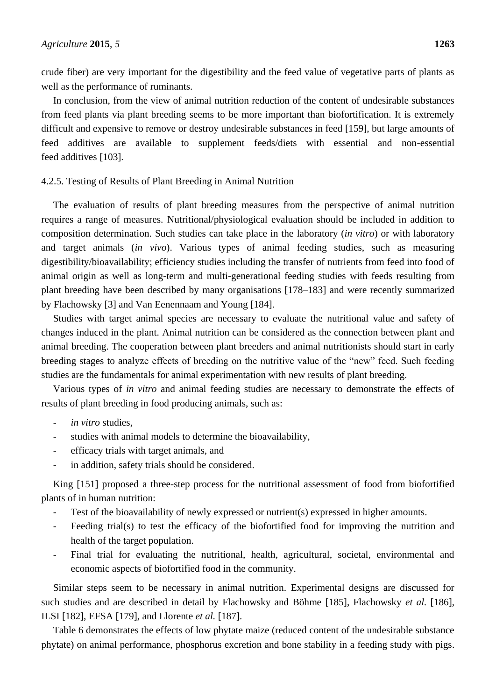crude fiber) are very important for the digestibility and the feed value of vegetative parts of plants as well as the performance of ruminants.

In conclusion, from the view of animal nutrition reduction of the content of undesirable substances from feed plants via plant breeding seems to be more important than biofortification. It is extremely difficult and expensive to remove or destroy undesirable substances in feed [159], but large amounts of feed additives are available to supplement feeds/diets with essential and non-essential feed additives [103].

# 4.2.5. Testing of Results of Plant Breeding in Animal Nutrition

The evaluation of results of plant breeding measures from the perspective of animal nutrition requires a range of measures. Nutritional/physiological evaluation should be included in addition to composition determination. Such studies can take place in the laboratory (*in vitro*) or with laboratory and target animals (*in vivo*). Various types of animal feeding studies, such as measuring digestibility/bioavailability; efficiency studies including the transfer of nutrients from feed into food of animal origin as well as long-term and multi-generational feeding studies with feeds resulting from plant breeding have been described by many organisations [178–183] and were recently summarized by Flachowsky [3] and Van Eenennaam and Young [184].

Studies with target animal species are necessary to evaluate the nutritional value and safety of changes induced in the plant. Animal nutrition can be considered as the connection between plant and animal breeding. The cooperation between plant breeders and animal nutritionists should start in early breeding stages to analyze effects of breeding on the nutritive value of the "new" feed. Such feeding studies are the fundamentals for animal experimentation with new results of plant breeding.

Various types of *in vitro* and animal feeding studies are necessary to demonstrate the effects of results of plant breeding in food producing animals, such as:

- in vitro studies.
- studies with animal models to determine the bioavailability,
- efficacy trials with target animals, and
- in addition, safety trials should be considered.

King [151] proposed a three-step process for the nutritional assessment of food from biofortified plants of in human nutrition:

- Test of the bioavailability of newly expressed or nutrient(s) expressed in higher amounts.
- Feeding trial(s) to test the efficacy of the biofortified food for improving the nutrition and health of the target population.
- Final trial for evaluating the nutritional, health, agricultural, societal, environmental and economic aspects of biofortified food in the community.

Similar steps seem to be necessary in animal nutrition. Experimental designs are discussed for such studies and are described in detail by Flachowsky and Böhme [185], Flachowsky *et al.* [186], ILSI [182], EFSA [179], and Llorente *et al.* [187].

Table 6 demonstrates the effects of low phytate maize (reduced content of the undesirable substance phytate) on animal performance, phosphorus excretion and bone stability in a feeding study with pigs.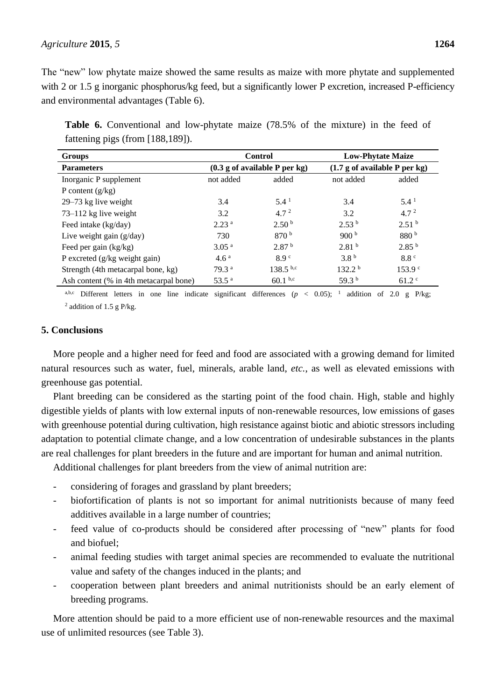# *Agriculture* **2015**, *5* **1264**

**Table 6.** Conventional and low-phytate maize (78.5% of the mixture) in the feed of fattening pigs (from [188,189]).

| <b>Groups</b>                          | <b>Control</b>                |                   | <b>Low-Phytate Maize</b>      |                    |
|----------------------------------------|-------------------------------|-------------------|-------------------------------|--------------------|
| <b>Parameters</b>                      | (0.3 g of available P per kg) |                   | (1.7 g of available P per kg) |                    |
| Inorganic P supplement                 | not added<br>added            |                   | not added                     | added              |
| P content $(g/kg)$                     |                               |                   |                               |                    |
| 29–73 kg live weight                   | 3.4                           | $5.4^{\text{1}}$  | 3.4                           | $5.4^{\text{1}}$   |
| 73–112 kg live weight                  | 3.2                           | 4.7 <sup>2</sup>  | 3.2                           | 4.7 <sup>2</sup>   |
| Feed intake (kg/day)                   | 2.23 <sup>a</sup>             | 2.50 <sup>b</sup> | 2.53 <sup>b</sup>             | 2.51 <sup>b</sup>  |
| Live weight gain $(g/day)$             | 730                           | 870 <sup>b</sup>  | 900 <sup>b</sup>              | 880 <sup>b</sup>   |
| Feed per gain (kg/kg)                  | 3.05 <sup>a</sup>             | 2.87 <sup>b</sup> | 2.81 <sup>b</sup>             | 2.85 <sup>b</sup>  |
| P excreted (g/kg weight gain)          | 4.6 <sup>a</sup>              | 8.9 <sup>c</sup>  | 3.8 <sup>b</sup>              | 8.8 <sup>c</sup>   |
| Strength (4th metacarpal bone, kg)     | 79.3 <sup>a</sup>             | $138.5^{b,c}$     | 132.2 <sup>b</sup>            | 153.9 <sup>c</sup> |
| Ash content (% in 4th metacarpal bone) | 53.5 <sup>a</sup>             | $60.1^{b,c}$      | 59.3 $^{\rm b}$               | $61.2$ °           |

a,b,c Different letters in one line indicate significant differences ( $p < 0.05$ ); <sup>1</sup> addition of 2.0 g P/kg;  $2$  addition of 1.5 g P/kg.

# **5. Conclusions**

More people and a higher need for feed and food are associated with a growing demand for limited natural resources such as water, fuel, minerals, arable land, *etc.*, as well as elevated emissions with greenhouse gas potential.

Plant breeding can be considered as the starting point of the food chain. High, stable and highly digestible yields of plants with low external inputs of non-renewable resources, low emissions of gases with greenhouse potential during cultivation, high resistance against biotic and abiotic stressors including adaptation to potential climate change, and a low concentration of undesirable substances in the plants are real challenges for plant breeders in the future and are important for human and animal nutrition.

Additional challenges for plant breeders from the view of animal nutrition are:

- considering of forages and grassland by plant breeders;
- biofortification of plants is not so important for animal nutritionists because of many feed additives available in a large number of countries;
- feed value of co-products should be considered after processing of "new" plants for food and biofuel;
- animal feeding studies with target animal species are recommended to evaluate the nutritional value and safety of the changes induced in the plants; and
- cooperation between plant breeders and animal nutritionists should be an early element of breeding programs.

More attention should be paid to a more efficient use of non-renewable resources and the maximal use of unlimited resources (see Table 3).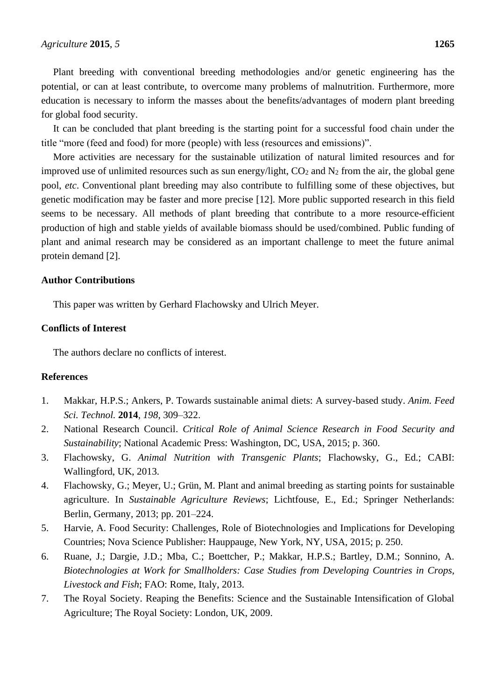Plant breeding with conventional breeding methodologies and/or genetic engineering has the potential, or can at least contribute, to overcome many problems of malnutrition. Furthermore, more education is necessary to inform the masses about the benefits/advantages of modern plant breeding for global food security.

It can be concluded that plant breeding is the starting point for a successful food chain under the title "more (feed and food) for more (people) with less (resources and emissions)".

More activities are necessary for the sustainable utilization of natural limited resources and for improved use of unlimited resources such as sun energy/light,  $CO<sub>2</sub>$  and  $N<sub>2</sub>$  from the air, the global gene pool, *etc*. Conventional plant breeding may also contribute to fulfilling some of these objectives, but genetic modification may be faster and more precise [12]. More public supported research in this field seems to be necessary. All methods of plant breeding that contribute to a more resource-efficient production of high and stable yields of available biomass should be used/combined. Public funding of plant and animal research may be considered as an important challenge to meet the future animal protein demand [2].

# **Author Contributions**

This paper was written by Gerhard Flachowsky and Ulrich Meyer.

# **Conflicts of Interest**

The authors declare no conflicts of interest.

# **References**

- 1. Makkar, H.P.S.; Ankers, P. Towards sustainable animal diets: A survey-based study. *Anim. Feed Sci. Technol.* **2014**, *198*, 309–322.
- 2. National Research Council. *Critical Role of Animal Science Research in Food Security and Sustainability*; National Academic Press: Washington, DC, USA, 2015; p. 360.
- 3. Flachowsky, G. *Animal Nutrition with Transgenic Plants*; Flachowsky, G., Ed.; CABI: Wallingford, UK, 2013.
- 4. Flachowsky, G.; Meyer, U.; Grün, M. Plant and animal breeding as starting points for sustainable agriculture. In *Sustainable Agriculture Reviews*; Lichtfouse, E., Ed.; Springer Netherlands: Berlin, Germany, 2013; pp. 201–224.
- 5. Harvie, A. Food Security: Challenges, Role of Biotechnologies and Implications for Developing Countries; Nova Science Publisher: Hauppauge, New York, NY, USA, 2015; p. 250.
- 6. Ruane, J.; Dargie, J.D.; Mba, C.; Boettcher, P.; Makkar, H.P.S.; Bartley, D.M.; Sonnino, A. *Biotechnologies at Work for Smallholders: Case Studies from Developing Countries in Crops, Livestock and Fish*; FAO: Rome, Italy, 2013.
- 7. The Royal Society. Reaping the Benefits: Science and the Sustainable Intensification of Global Agriculture; The Royal Society: London, UK, 2009.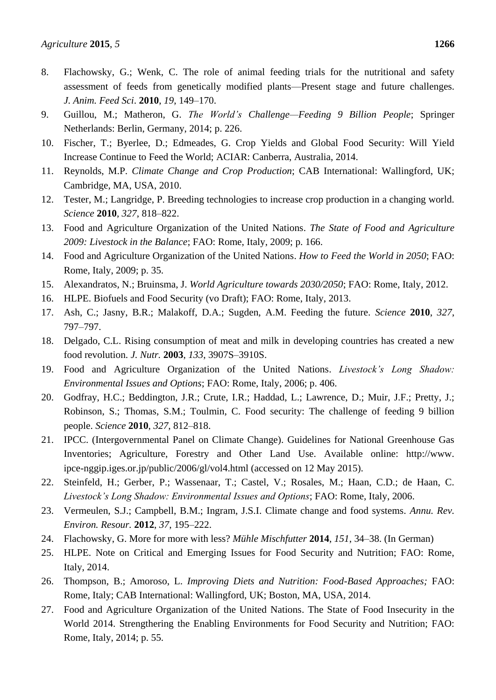- 8. Flachowsky, G.; Wenk, C. The role of animal feeding trials for the nutritional and safety assessment of feeds from genetically modified plants—Present stage and future challenges. *J. Anim. Feed Sci*. **2010**, *19*, 149–170.
- 9. Guillou, M.; Matheron, G. *The World's Challenge—Feeding 9 Billion People*; Springer Netherlands: Berlin, Germany, 2014; p. 226.
- 10. Fischer, T.; Byerlee, D.; Edmeades, G. Crop Yields and Global Food Security: Will Yield Increase Continue to Feed the World; ACIAR: Canberra, Australia, 2014.
- 11. Reynolds, M.P. *Climate Change and Crop Production*; CAB International: Wallingford, UK; Cambridge, MA, USA, 2010.
- 12. Tester, M.; Langridge, P. Breeding technologies to increase crop production in a changing world. *Science* **2010**, *327*, 818–822.
- 13. Food and Agriculture Organization of the United Nations. *The State of Food and Agriculture 2009: Livestock in the Balance*; FAO: Rome, Italy, 2009; p. 166.
- 14. Food and Agriculture Organization of the United Nations. *How to Feed the World in 2050*; FAO: Rome, Italy, 2009; p. 35.
- 15. Alexandratos, N.; Bruinsma, J. *World Agriculture towards 2030/2050*; FAO: Rome, Italy, 2012.
- 16. HLPE. Biofuels and Food Security (vo Draft); FAO: Rome, Italy, 2013.
- 17. Ash, C.; Jasny, B.R.; Malakoff, D.A.; Sugden, A.M. Feeding the future. *Science* **2010**, *327*, 797–797.
- 18. Delgado, C.L. Rising consumption of meat and milk in developing countries has created a new food revolution. *J. Nutr.* **2003**, *133*, 3907S–3910S.
- 19. Food and Agriculture Organization of the United Nations. *Livestock's Long Shadow: Environmental Issues and Options*; FAO: Rome, Italy, 2006; p. 406.
- 20. Godfray, H.C.; Beddington, J.R.; Crute, I.R.; Haddad, L.; Lawrence, D.; Muir, J.F.; Pretty, J.; Robinson, S.; Thomas, S.M.; Toulmin, C. Food security: The challenge of feeding 9 billion people. *Science* **2010**, *327*, 812–818.
- 21. IPCC. (Intergovernmental Panel on Climate Change). Guidelines for National Greenhouse Gas Inventories; Agriculture, Forestry and Other Land Use. Available online: http://www. ipce-nggip.iges.or.jp/public/2006/gl/vol4.html (accessed on 12 May 2015).
- 22. Steinfeld, H.; Gerber, P.; Wassenaar, T.; Castel, V.; Rosales, M.; Haan, C.D.; de Haan, C. *Livestock's Long Shadow: Environmental Issues and Options*; FAO: Rome, Italy, 2006.
- 23. Vermeulen, S.J.; Campbell, B.M.; Ingram, J.S.I. Climate change and food systems. *Annu. Rev. Environ. Resour.* **2012**, *37*, 195–222.
- 24. Flachowsky, G. More for more with less? *Mühle Mischfutter* **2014**, *151*, 34–38. (In German)
- 25. HLPE. Note on Critical and Emerging Issues for Food Security and Nutrition; FAO: Rome, Italy, 2014.
- 26. Thompson, B.; Amoroso, L. *Improving Diets and Nutrition: Food-Based Approaches;* FAO: Rome, Italy; CAB International: Wallingford, UK; Boston, MA, USA, 2014.
- 27. Food and Agriculture Organization of the United Nations. The State of Food Insecurity in the World 2014. Strengthering the Enabling Environments for Food Security and Nutrition; FAO: Rome, Italy, 2014; p. 55.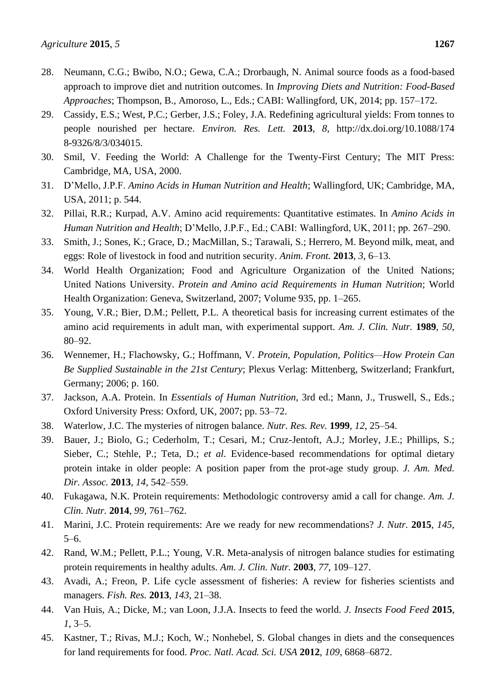- 28. Neumann, C.G.; Bwibo, N.O.; Gewa, C.A.; Drorbaugh, N. Animal source foods as a food-based approach to improve diet and nutrition outcomes. In *Improving Diets and Nutrition: Food-Based Approaches*; Thompson, B., Amoroso, L., Eds.; CABI: Wallingford, UK, 2014; pp. 157–172.
- 29. Cassidy, E.S.; West, P.C.; Gerber, J.S.; Foley, J.A. Redefining agricultural yields: From tonnes to people nourished per hectare. *Environ. Res. Lett.* **2013**, *8*, http://dx.doi.org/10.1088/174 8-9326/8/3/034015.
- 30. Smil, V. Feeding the World: A Challenge for the Twenty-First Century; The MIT Press: Cambridge, MA, USA, 2000.
- 31. D'Mello, J.P.F. *Amino Acids in Human Nutrition and Health*; Wallingford, UK; Cambridge, MA, USA, 2011; p. 544.
- 32. Pillai, R.R.; Kurpad, A.V. Amino acid requirements: Quantitative estimates. In *Amino Acids in Human Nutrition and Health*; D'Mello, J.P.F., Ed.; CABI: Wallingford, UK, 2011; pp. 267–290.
- 33. Smith, J.; Sones, K.; Grace, D.; MacMillan, S.; Tarawali, S.; Herrero, M. Beyond milk, meat, and eggs: Role of livestock in food and nutrition security. *Anim. Front.* **2013**, *3*, 6–13.
- 34. World Health Organization; Food and Agriculture Organization of the United Nations; United Nations University. *Protein and Amino acid Requirements in Human Nutrition*; World Health Organization: Geneva, Switzerland, 2007; Volume 935, pp. 1–265.
- 35. Young, V.R.; Bier, D.M.; Pellett, P.L. A theoretical basis for increasing current estimates of the amino acid requirements in adult man, with experimental support. *Am. J. Clin. Nutr.* **1989**, *50*, 80–92.
- 36. Wennemer, H.; Flachowsky, G.; Hoffmann, V. *Protein, Population, Politics—How Protein Can Be Supplied Sustainable in the 21st Century*; Plexus Verlag: Mittenberg, Switzerland; Frankfurt, Germany; 2006; p. 160.
- 37. Jackson, A.A. Protein. In *Essentials of Human Nutrition*, 3rd ed.; Mann, J., Truswell, S., Eds.; Oxford University Press: Oxford, UK, 2007; pp. 53–72.
- 38. Waterlow, J.C. The mysteries of nitrogen balance. *Nutr. Res. Rev.* **1999**, *12*, 25–54.
- 39. Bauer, J.; Biolo, G.; Cederholm, T.; Cesari, M.; Cruz-Jentoft, A.J.; Morley, J.E.; Phillips, S.; Sieber, C.; Stehle, P.; Teta, D.; *et al*. Evidence-based recommendations for optimal dietary protein intake in older people: A position paper from the prot-age study group. *J. Am. Med. Dir. Assoc.* **2013**, *14*, 542–559.
- 40. Fukagawa, N.K. Protein requirements: Methodologic controversy amid a call for change. *Am. J. Clin. Nutr.* **2014**, *99*, 761–762.
- 41. Marini, J.C. Protein requirements: Are we ready for new recommendations? *J. Nutr.* **2015**, *145*, 5–6.
- 42. Rand, W.M.; Pellett, P.L.; Young, V.R. Meta-analysis of nitrogen balance studies for estimating protein requirements in healthy adults. *Am. J. Clin. Nutr.* **2003**, *77*, 109–127.
- 43. Avadi, A.; Freon, P. Life cycle assessment of fisheries: A review for fisheries scientists and managers. *Fish. Res.* **2013**, *143*, 21–38.
- 44. Van Huis, A.; Dicke, M.; van Loon, J.J.A. Insects to feed the world. *J. Insects Food Feed* **2015**, *1*, 3–5.
- 45. Kastner, T.; Rivas, M.J.; Koch, W.; Nonhebel, S. Global changes in diets and the consequences for land requirements for food. *Proc. Natl. Acad. Sci. USA* **2012**, *109*, 6868–6872.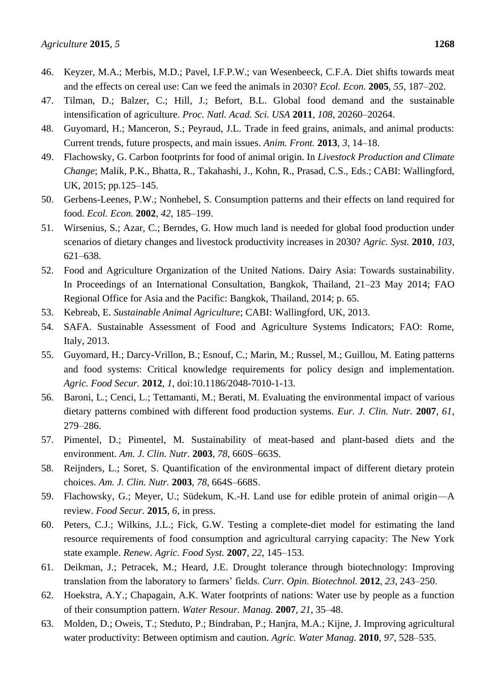- 46. Keyzer, M.A.; Merbis, M.D.; Pavel, I.F.P.W.; van Wesenbeeck, C.F.A. Diet shifts towards meat and the effects on cereal use: Can we feed the animals in 2030? *Ecol. Econ.* **2005**, *55*, 187–202.
- 47. Tilman, D.; Balzer, C.; Hill, J.; Befort, B.L. Global food demand and the sustainable intensification of agriculture. *Proc. Natl. Acad. Sci. USA* **2011**, *108*, 20260–20264.
- 48. Guyomard, H.; Manceron, S.; Peyraud, J.L. Trade in feed grains, animals, and animal products: Current trends, future prospects, and main issues. *Anim. Front.* **2013**, *3*, 14–18.
- 49. Flachowsky, G. Carbon footprints for food of animal origin. In *Livestock Production and Climate Change*; Malik, P.K., Bhatta, R., Takahashi, J., Kohn, R., Prasad, C.S., Eds.; CABI: Wallingford, UK, 2015; pp.125–145.
- 50. Gerbens-Leenes, P.W.; Nonhebel, S. Consumption patterns and their effects on land required for food. *Ecol. Econ.* **2002**, *42*, 185–199.
- 51. Wirsenius, S.; Azar, C.; Berndes, G. How much land is needed for global food production under scenarios of dietary changes and livestock productivity increases in 2030? *Agric. Syst.* **2010**, *103*, 621–638.
- 52. Food and Agriculture Organization of the United Nations. Dairy Asia: Towards sustainability. In Proceedings of an International Consultation, Bangkok, Thailand, 21–23 May 2014; FAO Regional Office for Asia and the Pacific: Bangkok, Thailand, 2014; p. 65.
- 53. Kebreab, E. *Sustainable Animal Agriculture*; CABI: Wallingford, UK, 2013.
- 54. SAFA. Sustainable Assessment of Food and Agriculture Systems Indicators; FAO: Rome, Italy, 2013.
- 55. Guyomard, H.; Darcy-Vrillon, B.; Esnouf, C.; Marin, M.; Russel, M.; Guillou, M. Eating patterns and food systems: Critical knowledge requirements for policy design and implementation. *Agric. Food Secur.* **2012**, *1*, doi:10.1186/2048-7010-1-13.
- 56. Baroni, L.; Cenci, L.; Tettamanti, M.; Berati, M. Evaluating the environmental impact of various dietary patterns combined with different food production systems. *Eur. J. Clin. Nutr.* **2007**, *61*, 279–286.
- 57. Pimentel, D.; Pimentel, M. Sustainability of meat-based and plant-based diets and the environment. *Am. J. Clin. Nutr.* **2003**, *78*, 660S–663S.
- 58. Reijnders, L.; Soret, S. Quantification of the environmental impact of different dietary protein choices. *Am. J. Clin. Nutr.* **2003**, *78*, 664S–668S.
- 59. Flachowsky, G.; Meyer, U.; Südekum, K.-H. Land use for edible protein of animal origin—A review. *Food Secur.* **2015**, *6*, in press.
- 60. Peters, C.J.; Wilkins, J.L.; Fick, G.W. Testing a complete-diet model for estimating the land resource requirements of food consumption and agricultural carrying capacity: The New York state example. *Renew. Agric. Food Syst.* **2007**, *22*, 145–153.
- 61. Deikman, J.; Petracek, M.; Heard, J.E. Drought tolerance through biotechnology: Improving translation from the laboratory to farmers' fields. *Curr. Opin. Biotechnol.* **2012**, *23*, 243–250.
- 62. Hoekstra, A.Y.; Chapagain, A.K. Water footprints of nations: Water use by people as a function of their consumption pattern. *Water Resour. Manag.* **2007**, *21*, 35–48.
- 63. Molden, D.; Oweis, T.; Steduto, P.; Bindraban, P.; Hanjra, M.A.; Kijne, J. Improving agricultural water productivity: Between optimism and caution. *Agric. Water Manag.* **2010**, *97*, 528–535.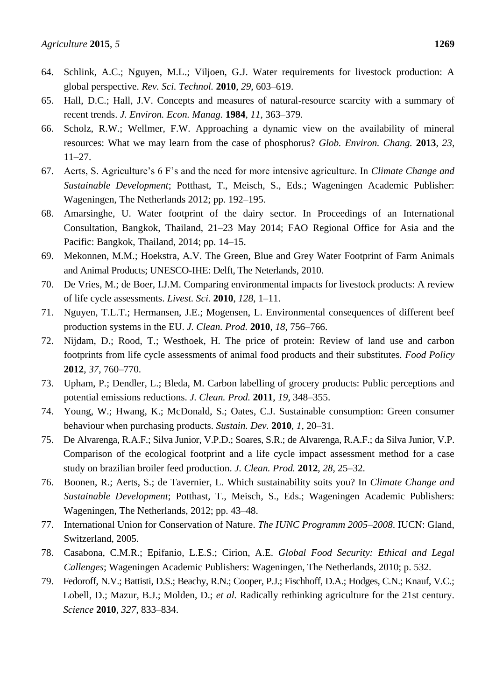- 64. Schlink, A.C.; Nguyen, M.L.; Viljoen, G.J. Water requirements for livestock production: A global perspective. *Rev. Sci. Technol.* **2010**, *29*, 603–619.
- 65. Hall, D.C.; Hall, J.V. Concepts and measures of natural-resource scarcity with a summary of recent trends. *J. Environ. Econ. Manag.* **1984**, *11*, 363–379.
- 66. Scholz, R.W.; Wellmer, F.W. Approaching a dynamic view on the availability of mineral resources: What we may learn from the case of phosphorus? *Glob. Environ. Chang.* **2013**, *23*, 11–27.
- 67. Aerts, S. Agriculture's 6 F's and the need for more intensive agriculture. In *Climate Change and Sustainable Development*; Potthast, T., Meisch, S., Eds.; Wageningen Academic Publisher: Wageningen, The Netherlands 2012; pp. 192–195.
- 68. Amarsinghe, U. Water footprint of the dairy sector. In Proceedings of an International Consultation, Bangkok, Thailand, 21–23 May 2014; FAO Regional Office for Asia and the Pacific: Bangkok, Thailand, 2014; pp. 14–15.
- 69. Mekonnen, M.M.; Hoekstra, A.V. The Green, Blue and Grey Water Footprint of Farm Animals and Animal Products; UNESCO-IHE: Delft, The Neterlands, 2010.
- 70. De Vries, M.; de Boer, I.J.M. Comparing environmental impacts for livestock products: A review of life cycle assessments. *Livest. Sci.* **2010**, *128*, 1–11.
- 71. Nguyen, T.L.T.; Hermansen, J.E.; Mogensen, L. Environmental consequences of different beef production systems in the EU. *J. Clean. Prod.* **2010**, *18*, 756–766.
- 72. Nijdam, D.; Rood, T.; Westhoek, H. The price of protein: Review of land use and carbon footprints from life cycle assessments of animal food products and their substitutes. *Food Policy*  **2012**, *37*, 760–770.
- 73. Upham, P.; Dendler, L.; Bleda, M. Carbon labelling of grocery products: Public perceptions and potential emissions reductions. *J. Clean. Prod.* **2011**, *19*, 348–355.
- 74. Young, W.; Hwang, K.; McDonald, S.; Oates, C.J. Sustainable consumption: Green consumer behaviour when purchasing products. *Sustain. Dev.* **2010**, *1*, 20–31.
- 75. De Alvarenga, R.A.F.; Silva Junior, V.P.D.; Soares, S.R.; de Alvarenga, R.A.F.; da Silva Junior, V.P. Comparison of the ecological footprint and a life cycle impact assessment method for a case study on brazilian broiler feed production. *J. Clean. Prod.* **2012**, *28*, 25–32.
- 76. Boonen, R.; Aerts, S.; de Tavernier, L. Which sustainability soits you? In *Climate Change and Sustainable Development*; Potthast, T., Meisch, S., Eds.; Wageningen Academic Publishers: Wageningen, The Netherlands, 2012; pp. 43–48.
- 77. International Union for Conservation of Nature. *The IUNC Programm 2005–2008*. IUCN: Gland, Switzerland, 2005.
- 78. Casabona, C.M.R.; Epifanio, L.E.S.; Cirion, A.E. *Global Food Security: Ethical and Legal Callenges*; Wageningen Academic Publishers: Wageningen, The Netherlands, 2010; p. 532.
- 79. Fedoroff, N.V.; Battisti, D.S.; Beachy, R.N.; Cooper, P.J.; Fischhoff, D.A.; Hodges, C.N.; Knauf, V.C.; Lobell, D.; Mazur, B.J.; Molden, D.; *et al.* Radically rethinking agriculture for the 21st century. *Science* **2010**, *327*, 833–834.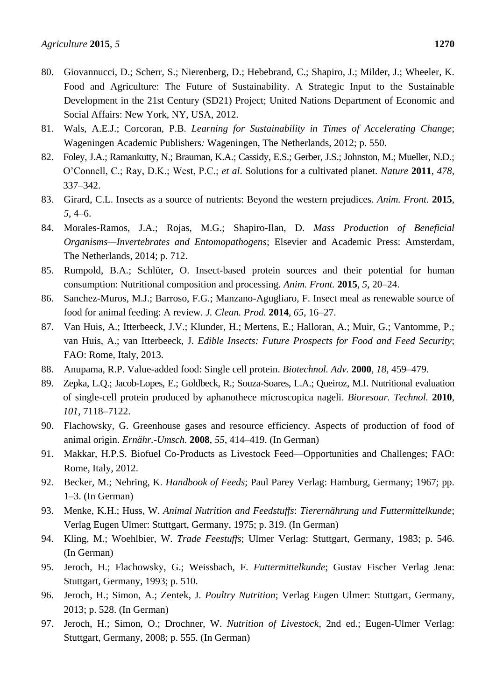- 80. Giovannucci, D.; Scherr, S.; Nierenberg, D.; Hebebrand, C.; Shapiro, J.; Milder, J.; Wheeler, K. Food and Agriculture: The Future of Sustainability. A Strategic Input to the Sustainable Development in the 21st Century (SD21) Project; United Nations Department of Economic and Social Affairs: New York, NY, USA, 2012.
- 81. Wals, A.E.J.; Corcoran, P.B. *Learning for Sustainability in Times of Accelerating Change*; Wageningen Academic Publishers*:* Wageningen, The Netherlands, 2012; p. 550.
- 82. Foley, J.A.; Ramankutty, N.; Brauman, K.A.; Cassidy, E.S.; Gerber, J.S.; Johnston, M.; Mueller, N.D.; O'Connell, C.; Ray, D.K.; West, P.C.; *et al*. Solutions for a cultivated planet. *Nature* **2011**, *478*, 337–342.
- 83. Girard, C.L. Insects as a source of nutrients: Beyond the western prejudices. *Anim. Front.* **2015**, *5*, 4–6.
- 84. Morales-Ramos, J.A.; Rojas, M.G.; Shapiro-Ilan, D. *Mass Production of Beneficial Organisms—Invertebrates and Entomopathogens*; Elsevier and Academic Press: Amsterdam, The Netherlands, 2014; p. 712.
- 85. Rumpold, B.A.; Schlüter, O. Insect-based protein sources and their potential for human consumption: Nutritional composition and processing. *Anim. Front.* **2015**, *5*, 20–24.
- 86. Sanchez-Muros, M.J.; Barroso, F.G.; Manzano-Agugliaro, F. Insect meal as renewable source of food for animal feeding: A review. *J. Clean. Prod.* **2014**, *65*, 16–27.
- 87. Van Huis, A.; Itterbeeck, J.V.; Klunder, H.; Mertens, E.; Halloran, A.; Muir, G.; Vantomme, P.; van Huis, A.; van Itterbeeck, J. *Edible Insects: Future Prospects for Food and Feed Security*; FAO: Rome, Italy, 2013.
- 88. Anupama, R.P. Value-added food: Single cell protein. *Biotechnol. Adv.* **2000**, *18*, 459–479.
- 89. Zepka, L.Q.; Jacob-Lopes, E.; Goldbeck, R.; Souza-Soares, L.A.; Queiroz, M.I. Nutritional evaluation of single-cell protein produced by aphanothece microscopica nageli. *Bioresour. Technol.* **2010**, *101*, 7118–7122.
- 90. Flachowsky, G. Greenhouse gases and resource efficiency. Aspects of production of food of animal origin. *Ernähr.-Umsch.* **2008**, *55*, 414–419. (In German)
- 91. Makkar, H.P.S. Biofuel Co-Products as Livestock Feed—Opportunities and Challenges; FAO: Rome, Italy, 2012.
- 92. Becker, M.; Nehring, K. *Handbook of Feeds*; Paul Parey Verlag: Hamburg, Germany; 1967; pp. 1–3. (In German)
- 93. Menke, K.H.; Huss, W. *Animal Nutrition and Feedstuffs*: *Tierernährung und Futtermittelkunde*; Verlag Eugen Ulmer: Stuttgart, Germany, 1975; p. 319. (In German)
- 94. Kling, M.; Woehlbier, W. *Trade Feestuffs*; Ulmer Verlag: Stuttgart, Germany, 1983; p. 546. (In German)
- 95. Jeroch, H.; Flachowsky, G.; Weissbach, F. *Futtermittelkunde*; Gustav Fischer Verlag Jena: Stuttgart, Germany, 1993; p. 510.
- 96. Jeroch, H.; Simon, A.; Zentek, J. *Poultry Nutrition*; Verlag Eugen Ulmer: Stuttgart, Germany, 2013; p. 528. (In German)
- 97. Jeroch, H.; Simon, O.; Drochner, W. *Nutrition of Livestock*, 2nd ed.; Eugen-Ulmer Verlag: Stuttgart, Germany, 2008; p. 555. (In German)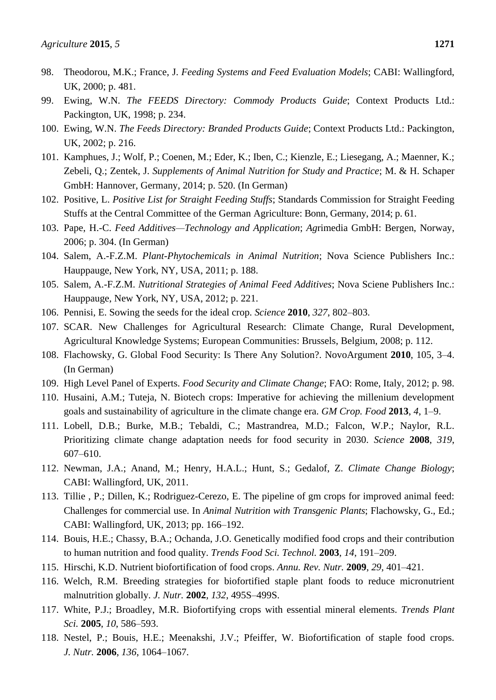- 98. Theodorou, M.K.; France, J. *Feeding Systems and Feed Evaluation Models*; CABI: Wallingford, UK, 2000; p. 481.
- 99. Ewing, W.N. *The FEEDS Directory: Commody Products Guide*; Context Products Ltd.: Packington, UK, 1998; p. 234.
- 100. Ewing, W.N. *The Feeds Directory: Branded Products Guide*; Context Products Ltd.: Packington, UK, 2002; p. 216.
- 101. Kamphues, J.; Wolf, P.; Coenen, M.; Eder, K.; Iben, C.; Kienzle, E.; Liesegang, A.; Maenner, K.; Zebeli, Q.; Zentek, J. *Supplements of Animal Nutrition for Study and Practice*; M. & H. Schaper GmbH: Hannover, Germany, 2014; p. 520. (In German)
- 102. Positive, L. *Positive List for Straight Feeding Stuffs*; Standards Commission for Straight Feeding Stuffs at the Central Committee of the German Agriculture: Bonn, Germany, 2014; p. 61.
- 103. Pape, H.-C. *Feed Additives—Technology and Application*; *Ag*rimedia GmbH: Bergen, Norway, 2006; p. 304. (In German)
- 104. Salem, A.-F.Z.M. *Plant-Phytochemicals in Animal Nutrition*; Nova Science Publishers Inc.: Hauppauge, New York, NY, USA, 2011; p. 188.
- 105. Salem, A.-F.Z.M. *Nutritional Strategies of Animal Feed Additives*; Nova Sciene Publishers Inc.: Hauppauge, New York, NY, USA, 2012; p. 221.
- 106. Pennisi, E. Sowing the seeds for the ideal crop. *Science* **2010**, *327*, 802–803.
- 107. SCAR. New Challenges for Agricultural Research: Climate Change, Rural Development, Agricultural Knowledge Systems; European Communities: Brussels, Belgium, 2008; p. 112.
- 108. Flachowsky, G. Global Food Security: Is There Any Solution?. NovoArgument **2010**, 105, 3–4. (In German)
- 109. High Level Panel of Experts. *Food Security and Climate Change*; FAO: Rome, Italy, 2012; p. 98.
- 110. Husaini, A.M.; Tuteja, N. Biotech crops: Imperative for achieving the millenium development goals and sustainability of agriculture in the climate change era. *GM Crop. Food* **2013**, *4*, 1–9.
- 111. Lobell, D.B.; Burke, M.B.; Tebaldi, C.; Mastrandrea, M.D.; Falcon, W.P.; Naylor, R.L. Prioritizing climate change adaptation needs for food security in 2030. *Science* **2008**, *319*, 607–610.
- 112. Newman, J.A.; Anand, M.; Henry, H.A.L.; Hunt, S.; Gedalof, Z. *Climate Change Biology*; CABI: Wallingford, UK, 2011.
- 113. Tillie , P.; Dillen, K.; Rodriguez-Cerezo, E. The pipeline of gm crops for improved animal feed: Challenges for commercial use. In *Animal Nutrition with Transgenic Plants*; Flachowsky, G., Ed.; CABI: Wallingford, UK, 2013; pp. 166–192.
- 114. Bouis, H.E.; Chassy, B.A.; Ochanda, J.O. Genetically modified food crops and their contribution to human nutrition and food quality. *Trends Food Sci. Technol.* **2003**, *14*, 191–209.
- 115. Hirschi, K.D. Nutrient biofortification of food crops. *Annu. Rev. Nutr.* **2009**, *29*, 401–421.
- 116. Welch, R.M. Breeding strategies for biofortified staple plant foods to reduce micronutrient malnutrition globally. *J. Nutr.* **2002**, *132*, 495S–499S.
- 117. White, P.J.; Broadley, M.R. Biofortifying crops with essential mineral elements. *Trends Plant Sci.* **2005**, *10*, 586–593.
- 118. Nestel, P.; Bouis, H.E.; Meenakshi, J.V.; Pfeiffer, W. Biofortification of staple food crops. *J. Nutr.* **2006**, *136*, 1064–1067.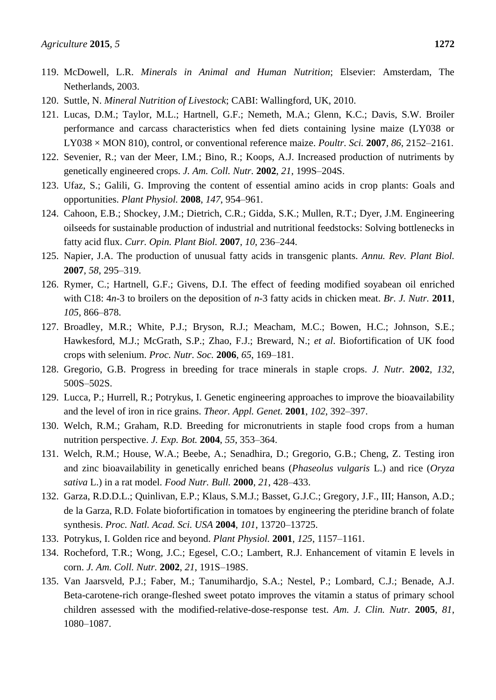- 119. McDowell, L.R. *Minerals in Animal and Human Nutrition*; Elsevier: Amsterdam, The Netherlands, 2003.
- 120. Suttle, N. *Mineral Nutrition of Livestock*; CABI: Wallingford, UK, 2010.
- 121. Lucas, D.M.; Taylor, M.L.; Hartnell, G.F.; Nemeth, M.A.; Glenn, K.C.; Davis, S.W. Broiler performance and carcass characteristics when fed diets containing lysine maize (LY038 or LY038 × MON 810), control, or conventional reference maize. *Poultr. Sci.* **2007**, *86*, 2152–2161.
- 122. Sevenier, R.; van der Meer, I.M.; Bino, R.; Koops, A.J. Increased production of nutriments by genetically engineered crops. *J. Am. Coll. Nutr.* **2002**, *21*, 199S–204S.
- 123. Ufaz, S.; Galili, G. Improving the content of essential amino acids in crop plants: Goals and opportunities. *Plant Physiol.* **2008**, *147*, 954–961.
- 124. Cahoon, E.B.; Shockey, J.M.; Dietrich, C.R.; Gidda, S.K.; Mullen, R.T.; Dyer, J.M. Engineering oilseeds for sustainable production of industrial and nutritional feedstocks: Solving bottlenecks in fatty acid flux. *Curr. Opin. Plant Biol.* **2007**, *10*, 236–244.
- 125. Napier, J.A. The production of unusual fatty acids in transgenic plants. *Annu. Rev. Plant Biol.*  **2007**, *58*, 295–319.
- 126. Rymer, C.; Hartnell, G.F.; Givens, D.I. The effect of feeding modified soyabean oil enriched with C18: 4*n*-3 to broilers on the deposition of *n*-3 fatty acids in chicken meat. *Br. J. Nutr.* **2011**, *105*, 866–878.
- 127. Broadley, M.R.; White, P.J.; Bryson, R.J.; Meacham, M.C.; Bowen, H.C.; Johnson, S.E.; Hawkesford, M.J.; McGrath, S.P.; Zhao, F.J.; Breward, N.; *et al*. Biofortification of UK food crops with selenium. *Proc. Nutr. Soc.* **2006**, *65*, 169–181.
- 128. Gregorio, G.B. Progress in breeding for trace minerals in staple crops. *J. Nutr.* **2002**, *132*, 500S–502S.
- 129. Lucca, P.; Hurrell, R.; Potrykus, I. Genetic engineering approaches to improve the bioavailability and the level of iron in rice grains. *Theor. Appl. Genet.* **2001**, *102*, 392–397.
- 130. Welch, R.M.; Graham, R.D. Breeding for micronutrients in staple food crops from a human nutrition perspective. *J. Exp. Bot.* **2004**, *55*, 353–364.
- 131. Welch, R.M.; House, W.A.; Beebe, A.; Senadhira, D.; Gregorio, G.B.; Cheng, Z. Testing iron and zinc bioavailability in genetically enriched beans (*Phaseolus vulgaris* L.) and rice (*Oryza sativa* L.) in a rat model. *Food Nutr. Bull.* **2000**, *21*, 428–433.
- 132. Garza, R.D.D.L.; Quinlivan, E.P.; Klaus, S.M.J.; Basset, G.J.C.; Gregory, J.F., III; Hanson, A.D.; de la Garza, R.D. Folate biofortification in tomatoes by engineering the pteridine branch of folate synthesis. *Proc. Natl. Acad. Sci. USA* **2004**, *101*, 13720–13725.
- 133. Potrykus, I. Golden rice and beyond. *Plant Physiol.* **2001**, *125*, 1157–1161.
- 134. Rocheford, T.R.; Wong, J.C.; Egesel, C.O.; Lambert, R.J. Enhancement of vitamin E levels in corn. *J. Am. Coll. Nutr.* **2002**, *21*, 191S–198S.
- 135. Van Jaarsveld, P.J.; Faber, M.; Tanumihardjo, S.A.; Nestel, P.; Lombard, C.J.; Benade, A.J. Beta-carotene-rich orange-fleshed sweet potato improves the vitamin a status of primary school children assessed with the modified-relative-dose-response test. *Am. J. Clin. Nutr.* **2005**, *81*, 1080–1087.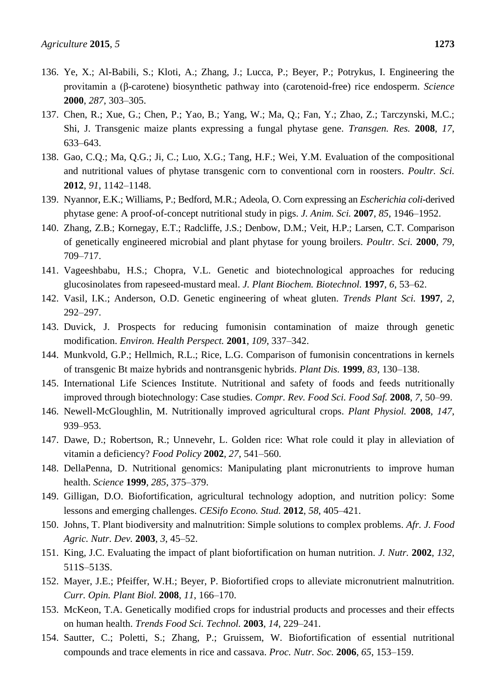- 137. Chen, R.; Xue, G.; Chen, P.; Yao, B.; Yang, W.; Ma, Q.; Fan, Y.; Zhao, Z.; Tarczynski, M.C.; Shi, J. Transgenic maize plants expressing a fungal phytase gene. *Transgen. Res.* **2008**, *17*, 633–643.
- 138. Gao, C.Q.; Ma, Q.G.; Ji, C.; Luo, X.G.; Tang, H.F.; Wei, Y.M. Evaluation of the compositional and nutritional values of phytase transgenic corn to conventional corn in roosters. *Poultr. Sci.*  **2012**, *91*, 1142–1148.
- 139. Nyannor, E.K.; Williams, P.; Bedford, M.R.; Adeola, O. Corn expressing an *Escherichia coli*-derived phytase gene: A proof-of-concept nutritional study in pigs. *J. Anim. Sci.* **2007**, *85*, 1946–1952.
- 140. Zhang, Z.B.; Kornegay, E.T.; Radcliffe, J.S.; Denbow, D.M.; Veit, H.P.; Larsen, C.T. Comparison of genetically engineered microbial and plant phytase for young broilers. *Poultr. Sci.* **2000**, *79*, 709–717.
- 141. Vageeshbabu, H.S.; Chopra, V.L. Genetic and biotechnological approaches for reducing glucosinolates from rapeseed-mustard meal. *J. Plant Biochem. Biotechnol.* **1997**, *6*, 53–62.
- 142. Vasil, I.K.; Anderson, O.D. Genetic engineering of wheat gluten. *Trends Plant Sci.* **1997**, *2*, 292–297.
- 143. Duvick, J. Prospects for reducing fumonisin contamination of maize through genetic modification. *Environ. Health Perspect.* **2001**, *109*, 337–342.
- 144. Munkvold, G.P.; Hellmich, R.L.; Rice, L.G. Comparison of fumonisin concentrations in kernels of transgenic Bt maize hybrids and nontransgenic hybrids. *Plant Dis.* **1999**, *83*, 130–138.
- 145. International Life Sciences Institute. Nutritional and safety of foods and feeds nutritionally improved through biotechnology: Case studies. *Compr. Rev. Food Sci. Food Saf.* **2008**, *7*, 50–99.
- 146. Newell-McGloughlin, M. Nutritionally improved agricultural crops. *Plant Physiol.* **2008**, *147*, 939–953.
- 147. Dawe, D.; Robertson, R.; Unnevehr, L. Golden rice: What role could it play in alleviation of vitamin a deficiency? *Food Policy* **2002**, *27*, 541–560.
- 148. DellaPenna, D. Nutritional genomics: Manipulating plant micronutrients to improve human health. *Science* **1999**, *285*, 375–379.
- 149. Gilligan, D.O. Biofortification, agricultural technology adoption, and nutrition policy: Some lessons and emerging challenges. *CESifo Econo. Stud.* **2012**, *58*, 405–421.
- 150. Johns, T. Plant biodiversity and malnutrition: Simple solutions to complex problems. *Afr. J. Food Agric. Nutr. Dev.* **2003**, *3*, 45–52.
- 151. King, J.C. Evaluating the impact of plant biofortification on human nutrition. *J. Nutr.* **2002**, *132*, 511S–513S.
- 152. Mayer, J.E.; Pfeiffer, W.H.; Beyer, P. Biofortified crops to alleviate micronutrient malnutrition. *Curr. Opin. Plant Biol.* **2008**, *11*, 166–170.
- 153. McKeon, T.A. Genetically modified crops for industrial products and processes and their effects on human health. *Trends Food Sci. Technol.* **2003**, *14*, 229–241.
- 154. Sautter, C.; Poletti, S.; Zhang, P.; Gruissem, W. Biofortification of essential nutritional compounds and trace elements in rice and cassava. *Proc. Nutr. Soc.* **2006**, *65*, 153–159.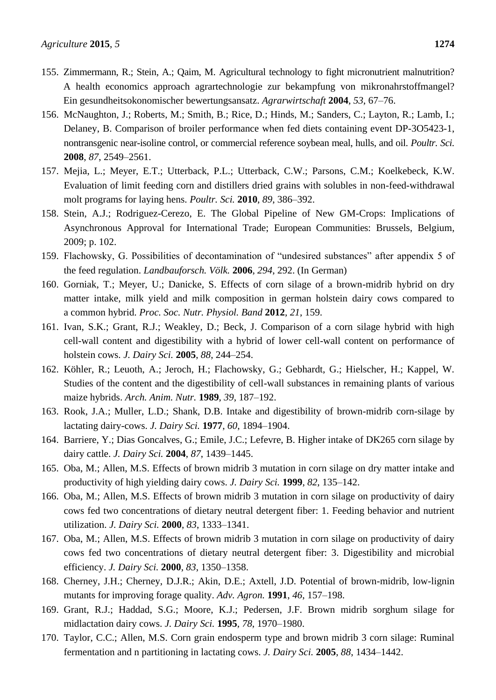- 155. Zimmermann, R.; Stein, A.; Qaim, M. Agricultural technology to fight micronutrient malnutrition? A health economics approach agrartechnologie zur bekampfung von mikronahrstoffmangel? Ein gesundheitsokonomischer bewertungsansatz. *Agrarwirtschaft* **2004**, *53*, 67–76.
- 156. McNaughton, J.; Roberts, M.; Smith, B.; Rice, D.; Hinds, M.; Sanders, C.; Layton, R.; Lamb, I.; Delaney, B. Comparison of broiler performance when fed diets containing event DP-3O5423-1, nontransgenic near-isoline control, or commercial reference soybean meal, hulls, and oil. *Poultr. Sci.*  **2008**, *87*, 2549–2561.
- 157. Mejia, L.; Meyer, E.T.; Utterback, P.L.; Utterback, C.W.; Parsons, C.M.; Koelkebeck, K.W. Evaluation of limit feeding corn and distillers dried grains with solubles in non-feed-withdrawal molt programs for laying hens. *Poultr. Sci.* **2010**, *89*, 386–392.
- 158. Stein, A.J.; Rodriguez-Cerezo, E. The Global Pipeline of New GM-Crops: Implications of Asynchronous Approval for International Trade; European Communities: Brussels, Belgium, 2009; p. 102.
- 159. Flachowsky, G. Possibilities of decontamination of "undesired substances" after appendix 5 of the feed regulation. *Landbauforsch. Völk.* **2006**, *294*, 292. (In German)
- 160. Gorniak, T.; Meyer, U.; Danicke, S. Effects of corn silage of a brown-midrib hybrid on dry matter intake, milk yield and milk composition in german holstein dairy cows compared to a common hybrid. *Proc. Soc. Nutr. Physiol. Band* **2012**, *21*, 159.
- 161. Ivan, S.K.; Grant, R.J.; Weakley, D.; Beck, J. Comparison of a corn silage hybrid with high cell-wall content and digestibility with a hybrid of lower cell-wall content on performance of holstein cows. *J. Dairy Sci.* **2005**, *88*, 244–254.
- 162. Köhler, R.; Leuoth, A.; Jeroch, H.; Flachowsky, G.; Gebhardt, G.; Hielscher, H.; Kappel, W. Studies of the content and the digestibility of cell-wall substances in remaining plants of various maize hybrids. *Arch. Anim. Nutr.* **1989**, *39*, 187–192.
- 163. Rook, J.A.; Muller, L.D.; Shank, D.B. Intake and digestibility of brown-midrib corn-silage by lactating dairy-cows. *J. Dairy Sci.* **1977**, *60*, 1894–1904.
- 164. Barriere, Y.; Dias Goncalves, G.; Emile, J.C.; Lefevre, B. Higher intake of DK265 corn silage by dairy cattle. *J. Dairy Sci.* **2004**, *87*, 1439–1445.
- 165. Oba, M.; Allen, M.S. Effects of brown midrib 3 mutation in corn silage on dry matter intake and productivity of high yielding dairy cows. *J. Dairy Sci.* **1999**, *82*, 135–142.
- 166. Oba, M.; Allen, M.S. Effects of brown midrib 3 mutation in corn silage on productivity of dairy cows fed two concentrations of dietary neutral detergent fiber: 1. Feeding behavior and nutrient utilization. *J. Dairy Sci.* **2000**, *83*, 1333–1341.
- 167. Oba, M.; Allen, M.S. Effects of brown midrib 3 mutation in corn silage on productivity of dairy cows fed two concentrations of dietary neutral detergent fiber: 3. Digestibility and microbial efficiency. *J. Dairy Sci.* **2000**, *83*, 1350–1358.
- 168. Cherney, J.H.; Cherney, D.J.R.; Akin, D.E.; Axtell, J.D. Potential of brown-midrib, low-lignin mutants for improving forage quality. *Adv. Agron.* **1991**, *46*, 157–198.
- 169. Grant, R.J.; Haddad, S.G.; Moore, K.J.; Pedersen, J.F. Brown midrib sorghum silage for midlactation dairy cows. *J. Dairy Sci.* **1995**, *78*, 1970–1980.
- 170. Taylor, C.C.; Allen, M.S. Corn grain endosperm type and brown midrib 3 corn silage: Ruminal fermentation and n partitioning in lactating cows. *J. Dairy Sci.* **2005**, *88*, 1434–1442.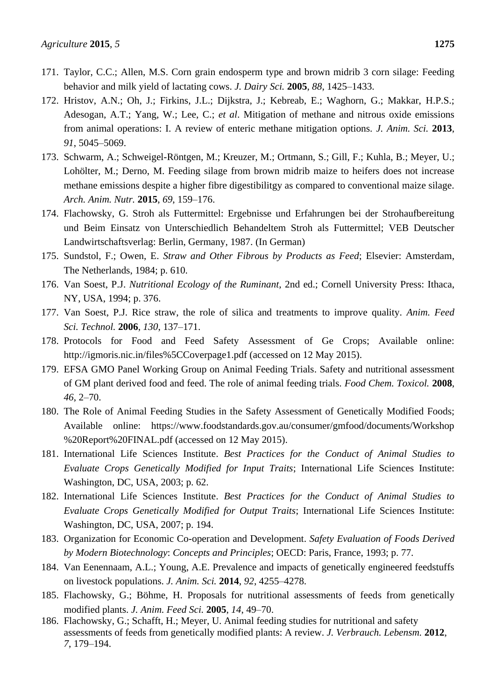- 171. Taylor, C.C.; Allen, M.S. Corn grain endosperm type and brown midrib 3 corn silage: Feeding behavior and milk yield of lactating cows. *J. Dairy Sci.* **2005**, *88*, 1425–1433.
- 172. Hristov, A.N.; Oh, J.; Firkins, J.L.; Dijkstra, J.; Kebreab, E.; Waghorn, G.; Makkar, H.P.S.; Adesogan, A.T.; Yang, W.; Lee, C.; *et al*. Mitigation of methane and nitrous oxide emissions from animal operations: I. A review of enteric methane mitigation options. *J. Anim. Sci.* **2013**, *91*, 5045–5069.
- 173. Schwarm, A.; Schweigel-Röntgen, M.; Kreuzer, M.; Ortmann, S.; Gill, F.; Kuhla, B.; Meyer, U.; Lohölter, M.; Derno, M. Feeding silage from brown midrib maize to heifers does not increase methane emissions despite a higher fibre digestibilitgy as compared to conventional maize silage. *Arch. Anim. Nutr.* **2015**, *69*, 159–176.
- 174. Flachowsky, G. Stroh als Futtermittel: Ergebnisse und Erfahrungen bei der Strohaufbereitung und Beim Einsatz von Unterschiedlich Behandeltem Stroh als Futtermittel; VEB Deutscher Landwirtschaftsverlag: Berlin, Germany, 1987. (In German)
- 175. Sundstol, F.; Owen, E. *Straw and Other Fibrous by Products as Feed*; Elsevier: Amsterdam, The Netherlands, 1984; p. 610.
- 176. Van Soest, P.J. *Nutritional Ecology of the Ruminant*, 2nd ed.; Cornell University Press: Ithaca, NY, USA, 1994; p. 376.
- 177. Van Soest, P.J. Rice straw, the role of silica and treatments to improve quality. *Anim. Feed Sci. Technol.* **2006**, *130*, 137–171.
- 178. Protocols for Food and Feed Safety Assessment of Ge Crops; Available online: http://igmoris.nic.in/files%5CCoverpage1.pdf (accessed on 12 May 2015).
- 179. EFSA GMO Panel Working Group on Animal Feeding Trials. Safety and nutritional assessment of GM plant derived food and feed. The role of animal feeding trials. *Food Chem. Toxicol.* **2008**, *46*, 2–70.
- 180. The Role of Animal Feeding Studies in the Safety Assessment of Genetically Modified Foods; Available online: https://www.foodstandards.gov.au/consumer/gmfood/documents/Workshop %20Report%20FINAL.pdf (accessed on 12 May 2015).
- 181. International Life Sciences Institute. *Best Practices for the Conduct of Animal Studies to Evaluate Crops Genetically Modified for Input Traits*; International Life Sciences Institute: Washington, DC, USA, 2003; p. 62.
- 182. International Life Sciences Institute. *Best Practices for the Conduct of Animal Studies to Evaluate Crops Genetically Modified for Output Traits*; International Life Sciences Institute: Washington, DC, USA, 2007; p. 194.
- 183. Organization for Economic Co-operation and Development. *Safety Evaluation of Foods Derived by Modern Biotechnology*: *Concepts and Principles*; OECD: Paris, France, 1993; p. 77.
- 184. Van Eenennaam, A.L.; Young, A.E. Prevalence and impacts of genetically engineered feedstuffs on livestock populations. *J. Anim. Sci.* **2014**, *92*, 4255–4278.
- 185. Flachowsky, G.; Böhme, H. Proposals for nutritional assessments of feeds from genetically modified plants. *J. Anim. Feed Sci.* **2005**, *14*, 49–70.
- 186. Flachowsky, G.; Schafft, H.; Meyer, U. Animal feeding studies for nutritional and safety assessments of feeds from genetically modified plants: A review. *J. Verbrauch. Lebensm.* **2012**, *7*, 179–194.